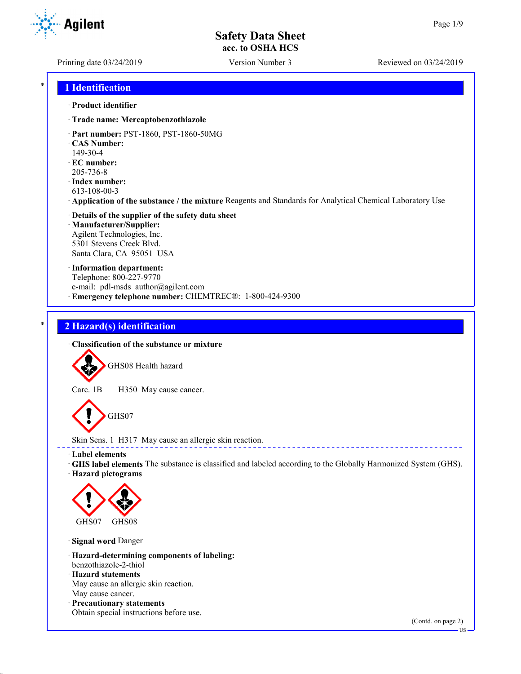**Agilent** 

Printing date 03/24/2019 Version Number 3 Reviewed on 03/24/2019

### \* **1 Identification**

#### · **Product identifier**

- · **Trade name: Mercaptobenzothiazole**
- · **Part number:** PST-1860, PST-1860-50MG
- · **CAS Number:**
- 149-30-4
- · **EC number:** 205-736-8
- · **Index number:**
- 613-108-00-3
- · **Application of the substance / the mixture** Reagents and Standards for Analytical Chemical Laboratory Use
- · **Details of the supplier of the safety data sheet** · **Manufacturer/Supplier:** Agilent Technologies, Inc. 5301 Stevens Creek Blvd. Santa Clara, CA 95051 USA
- · **Information department:** Telephone: 800-227-9770 e-mail: pdl-msds author@agilent.com · **Emergency telephone number:** CHEMTREC®: 1-800-424-9300

## \* **2 Hazard(s) identification**

· **Classification of the substance or mixture**

GHS08 Health hazard

Carc. 1B H350 May cause cancer.

GHS07

Skin Sens. 1 H317 May cause an allergic skin reaction.

- · **Label elements**
- · **GHS label elements** The substance is classified and labeled according to the Globally Harmonized System (GHS).
- · **Hazard pictograms**



· **Signal word** Danger

- · **Hazard-determining components of labeling:** benzothiazole-2-thiol
- · **Hazard statements** May cause an allergic skin reaction. May cause cancer.
- · **Precautionary statements**
- Obtain special instructions before use.

(Contd. on page 2)

US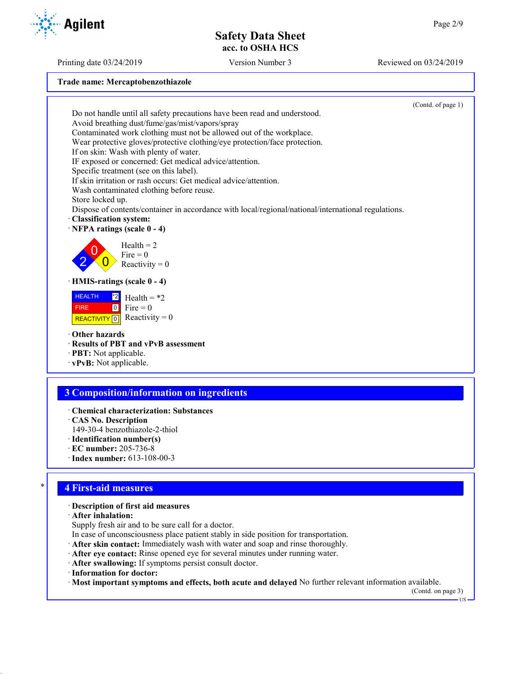Printing date 03/24/2019 Version Number 3 Reviewed on 03/24/2019

**Agilent** 

**Trade name: Mercaptobenzothiazole**

(Contd. of page 1) Do not handle until all safety precautions have been read and understood. Avoid breathing dust/fume/gas/mist/vapors/spray Contaminated work clothing must not be allowed out of the workplace. Wear protective gloves/protective clothing/eye protection/face protection. If on skin: Wash with plenty of water. IF exposed or concerned: Get medical advice/attention. Specific treatment (see on this label). If skin irritation or rash occurs: Get medical advice/attention. Wash contaminated clothing before reuse. Store locked up. Dispose of contents/container in accordance with local/regional/national/international regulations. · **Classification system:** · **NFPA ratings (scale 0 - 4)** 2  $\overline{0}$  $\overline{0}$  $Health = 2$  $Fire = 0$ Reactivity  $= 0$ · **HMIS-ratings (scale 0 - 4)** HEALTH FIRE REACTIVITY  $\boxed{0}$  Reactivity = 0  $\overline{2}$  Health = \*2  $0$  Fire = 0 · **Other hazards** · **Results of PBT and vPvB assessment** · **PBT:** Not applicable. · **vPvB:** Not applicable. **3 Composition/information on ingredients** · **Chemical characterization: Substances** · **CAS No. Description** 149-30-4 benzothiazole-2-thiol

- · **Identification number(s)**
- · **EC number:** 205-736-8
- · **Index number:** 613-108-00-3

### \* **4 First-aid measures**

#### · **Description of first aid measures**

· **After inhalation:**

- Supply fresh air and to be sure call for a doctor.
- In case of unconsciousness place patient stably in side position for transportation.
- · **After skin contact:** Immediately wash with water and soap and rinse thoroughly.
- · **After eye contact:** Rinse opened eye for several minutes under running water.
- · **After swallowing:** If symptoms persist consult doctor.
- · **Information for doctor:**

· **Most important symptoms and effects, both acute and delayed** No further relevant information available.

(Contd. on page 3)

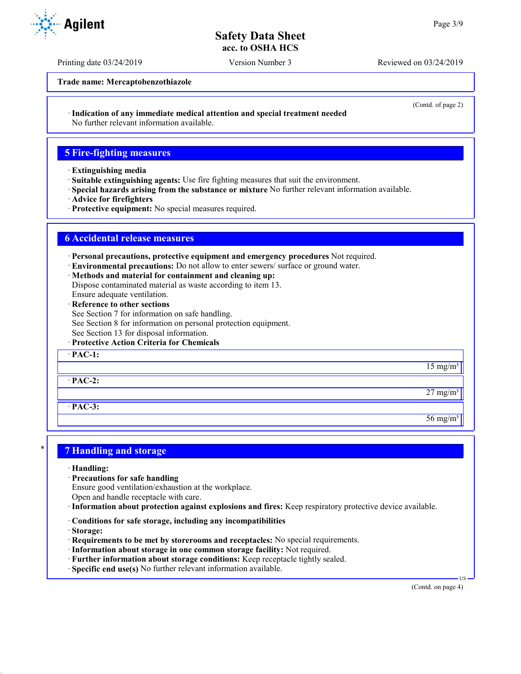Printing date 03/24/2019 Version Number 3 Reviewed on 03/24/2019

**Trade name: Mercaptobenzothiazole**

· **Indication of any immediate medical attention and special treatment needed**

No further relevant information available.

### **5 Fire-fighting measures**

- · **Extinguishing media**
- · **Suitable extinguishing agents:** Use fire fighting measures that suit the environment.
- · **Special hazards arising from the substance or mixture** No further relevant information available.
- · **Advice for firefighters**
- · **Protective equipment:** No special measures required.

## **6 Accidental release measures**

· **Personal precautions, protective equipment and emergency procedures** Not required.

- · **Environmental precautions:** Do not allow to enter sewers/ surface or ground water.
- · **Methods and material for containment and cleaning up:**

Dispose contaminated material as waste according to item 13.

- Ensure adequate ventilation.
- · **Reference to other sections**
- See Section 7 for information on safe handling.
- See Section 8 for information on personal protection equipment.
- See Section 13 for disposal information.
- · **Protective Action Criteria for Chemicals**

· **PAC-1:**

· **PAC-2:**

· **PAC-3:**

### \* **7 Handling and storage**

- · **Handling:**
- · **Precautions for safe handling**
- Ensure good ventilation/exhaustion at the workplace.

Open and handle receptacle with care.

- · **Information about protection against explosions and fires:** Keep respiratory protective device available.
- · **Conditions for safe storage, including any incompatibilities**
- · **Storage:**
- · **Requirements to be met by storerooms and receptacles:** No special requirements.
- · **Information about storage in one common storage facility:** Not required.
- · **Further information about storage conditions:** Keep receptacle tightly sealed.
- · **Specific end use(s)** No further relevant information available.

(Contd. on page 4)

US





(Contd. of page 2)

 $15 \text{ mg/m}^3$ 

 $27 \text{ mg/m}^3$ 

 $56 \text{ mg/m}^3$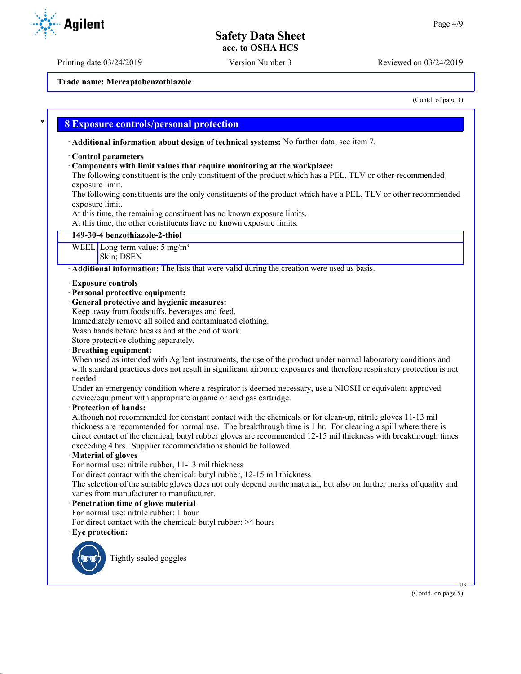Printing date 03/24/2019 Version Number 3 Reviewed on 03/24/2019

**Trade name: Mercaptobenzothiazole**

(Contd. of page 3)

### \* **8 Exposure controls/personal protection**

· **Additional information about design of technical systems:** No further data; see item 7.

#### · **Control parameters**

#### · **Components with limit values that require monitoring at the workplace:**

The following constituent is the only constituent of the product which has a PEL, TLV or other recommended exposure limit.

The following constituents are the only constituents of the product which have a PEL, TLV or other recommended exposure limit.

At this time, the remaining constituent has no known exposure limits.

At this time, the other constituents have no known exposure limits.

#### **149-30-4 benzothiazole-2-thiol**

WEEL Long-term value: 5 mg/m<sup>3</sup> Skin; DSEN

· **Additional information:** The lists that were valid during the creation were used as basis.

- · **Exposure controls**
- · **Personal protective equipment:**
- · **General protective and hygienic measures:**
- Keep away from foodstuffs, beverages and feed.

Immediately remove all soiled and contaminated clothing.

Wash hands before breaks and at the end of work.

Store protective clothing separately.

#### · **Breathing equipment:**

When used as intended with Agilent instruments, the use of the product under normal laboratory conditions and with standard practices does not result in significant airborne exposures and therefore respiratory protection is not needed.

Under an emergency condition where a respirator is deemed necessary, use a NIOSH or equivalent approved device/equipment with appropriate organic or acid gas cartridge.

#### · **Protection of hands:**

Although not recommended for constant contact with the chemicals or for clean-up, nitrile gloves 11-13 mil thickness are recommended for normal use. The breakthrough time is 1 hr. For cleaning a spill where there is direct contact of the chemical, butyl rubber gloves are recommended 12-15 mil thickness with breakthrough times exceeding 4 hrs. Supplier recommendations should be followed.

#### · **Material of gloves**

For normal use: nitrile rubber, 11-13 mil thickness

For direct contact with the chemical: butyl rubber, 12-15 mil thickness

The selection of the suitable gloves does not only depend on the material, but also on further marks of quality and varies from manufacturer to manufacturer.

#### · **Penetration time of glove material**

For normal use: nitrile rubber: 1 hour

For direct contact with the chemical: butyl rubber: >4 hours

#### Eye protection:



Tightly sealed goggles



US

(Contd. on page 5)

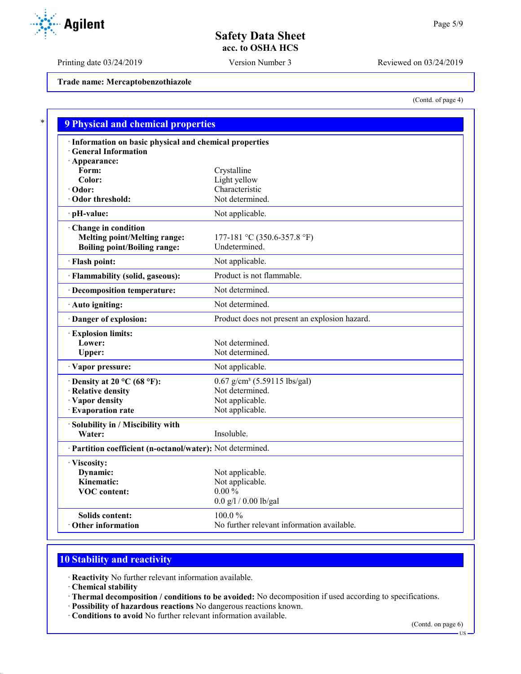Printing date 03/24/2019 Version Number 3 Reviewed on 03/24/2019

**Trade name: Mercaptobenzothiazole**

(Contd. of page 4)

| · Information on basic physical and chemical properties    |                                               |
|------------------------------------------------------------|-----------------------------------------------|
| <b>General Information</b>                                 |                                               |
| · Appearance:                                              |                                               |
| Form:                                                      | Crystalline                                   |
| Color:                                                     | Light yellow                                  |
| · Odor:                                                    | Characteristic                                |
| Odor threshold:                                            | Not determined.                               |
| · pH-value:                                                | Not applicable.                               |
| Change in condition                                        |                                               |
| <b>Melting point/Melting range:</b>                        | 177-181 °C (350.6-357.8 °F)                   |
| <b>Boiling point/Boiling range:</b>                        | Undetermined.                                 |
| · Flash point:                                             | Not applicable.                               |
| · Flammability (solid, gaseous):                           | Product is not flammable.                     |
| · Decomposition temperature:                               | Not determined.                               |
| · Auto igniting:                                           | Not determined.                               |
| Danger of explosion:                                       | Product does not present an explosion hazard. |
| <b>Explosion limits:</b>                                   |                                               |
| Lower:                                                     | Not determined.                               |
| Upper:                                                     | Not determined.                               |
| · Vapor pressure:                                          | Not applicable.                               |
| $\cdot$ Density at 20 °C (68 °F):                          | $0.67$ g/cm <sup>3</sup> (5.59115 lbs/gal)    |
| · Relative density                                         | Not determined.                               |
| · Vapor density                                            | Not applicable.                               |
| · Evaporation rate                                         | Not applicable.                               |
| · Solubility in / Miscibility with                         |                                               |
| Water:                                                     | Insoluble.                                    |
| · Partition coefficient (n-octanol/water): Not determined. |                                               |
| · Viscosity:                                               |                                               |
| Dynamic:                                                   | Not applicable.                               |
| Kinematic:                                                 | Not applicable.                               |
| <b>VOC</b> content:                                        | $0.00 \%$                                     |
|                                                            | $0.0$ g/l / $0.00$ lb/gal                     |
| <b>Solids content:</b>                                     | 100.0%                                        |
| Other information                                          | No further relevant information available.    |

# **10 Stability and reactivity**

· **Reactivity** No further relevant information available.

· **Chemical stability**

- · **Thermal decomposition / conditions to be avoided:** No decomposition if used according to specifications.
- · **Possibility of hazardous reactions** No dangerous reactions known.
- · **Conditions to avoid** No further relevant information available.

(Contd. on page 6)

US

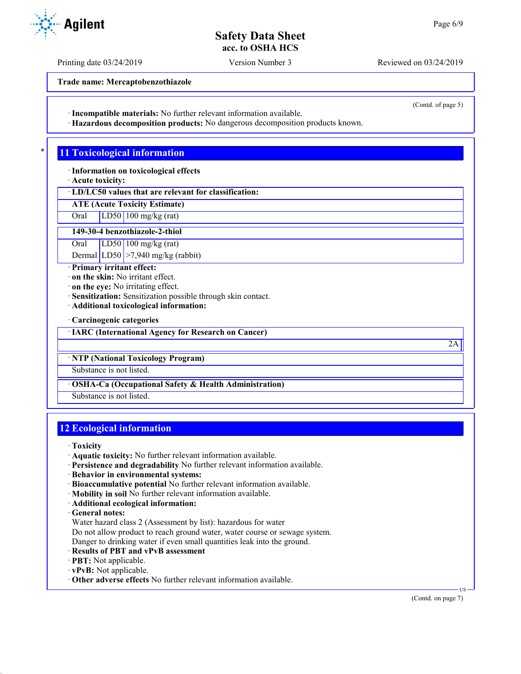Printing date 03/24/2019 Version Number 3 Reviewed on 03/24/2019

**Trade name: Mercaptobenzothiazole**

· **Incompatible materials:** No further relevant information available.

· **Hazardous decomposition products:** No dangerous decomposition products known.

## **11 Toxicological information**

· **Information on toxicological effects**

· **Acute toxicity:**

· **LD/LC50 values that are relevant for classification:**

**ATE (Acute Toxicity Estimate)**

Oral LD50 100 mg/kg (rat)

**149-30-4 benzothiazole-2-thiol**

Oral LD50 100 mg/kg (rat)

Dermal LD50 > 7,940 mg/kg (rabbit)

· **Primary irritant effect:**

- · **on the skin:** No irritant effect.
- · **on the eye:** No irritating effect.
- · **Sensitization:** Sensitization possible through skin contact.
- · **Additional toxicological information:**
- · **Carcinogenic categories**

· **IARC (International Agency for Research on Cancer)**

· **NTP (National Toxicology Program)**

Substance is not listed.

· **OSHA-Ca (Occupational Safety & Health Administration)**

Substance is not listed.

## **12 Ecological information**

· **Toxicity**

- · **Aquatic toxicity:** No further relevant information available.
- · **Persistence and degradability** No further relevant information available.
- · **Behavior in environmental systems:**
- · **Bioaccumulative potential** No further relevant information available.
- · **Mobility in soil** No further relevant information available.
- · **Additional ecological information:**
- · **General notes:**
- Water hazard class 2 (Assessment by list): hazardous for water

Do not allow product to reach ground water, water course or sewage system.

- Danger to drinking water if even small quantities leak into the ground.
- · **Results of PBT and vPvB assessment**
- · **PBT:** Not applicable.
- · **vPvB:** Not applicable.
- · **Other adverse effects** No further relevant information available.

US



(Contd. of page 5)

2A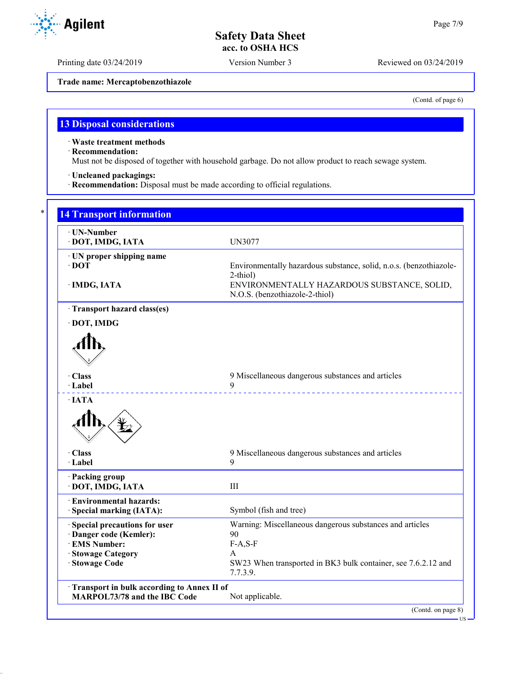Printing date 03/24/2019 Version Number 3 Reviewed on 03/24/2019

**Trade name: Mercaptobenzothiazole**

(Contd. of page 6)

## **13 Disposal considerations**

· **Waste treatment methods**

· **Recommendation:**

Must not be disposed of together with household garbage. Do not allow product to reach sewage system.

· **Uncleaned packagings:**

· **Recommendation:** Disposal must be made according to official regulations.

| · DOT, IMDG, IATA                                                                                                  | <b>UN3077</b>                                                                             |
|--------------------------------------------------------------------------------------------------------------------|-------------------------------------------------------------------------------------------|
| · UN proper shipping name<br>$\cdot$ DOT                                                                           | Environmentally hazardous substance, solid, n.o.s. (benzothiazole-<br>2-thiol)            |
| · IMDG, IATA                                                                                                       | ENVIRONMENTALLY HAZARDOUS SUBSTANCE, SOLID,<br>N.O.S. (benzothiazole-2-thiol)             |
| · Transport hazard class(es)                                                                                       |                                                                                           |
| · DOT, IMDG                                                                                                        |                                                                                           |
|                                                                                                                    |                                                                                           |
| · Class<br>$\cdot$ Label                                                                                           | 9 Miscellaneous dangerous substances and articles<br>9                                    |
| $\cdot$ IATA                                                                                                       |                                                                                           |
| · Class<br>· Label                                                                                                 | 9 Miscellaneous dangerous substances and articles<br>9                                    |
|                                                                                                                    |                                                                                           |
| · Packing group<br>· DOT, IMDG, IATA                                                                               | III                                                                                       |
|                                                                                                                    |                                                                                           |
|                                                                                                                    | Symbol (fish and tree)                                                                    |
|                                                                                                                    | Warning: Miscellaneous dangerous substances and articles                                  |
| · Environmental hazards:<br>· Special marking (IATA):<br>· Special precautions for user<br>· Danger code (Kemler): | 90                                                                                        |
|                                                                                                                    | $F-A, S-F$                                                                                |
| · EMS Number:<br>· Stowage Category<br>· Stowage Code                                                              | $\mathsf{A}$<br>SW23 When transported in BK3 bulk container, see 7.6.2.12 and<br>7.7.3.9. |

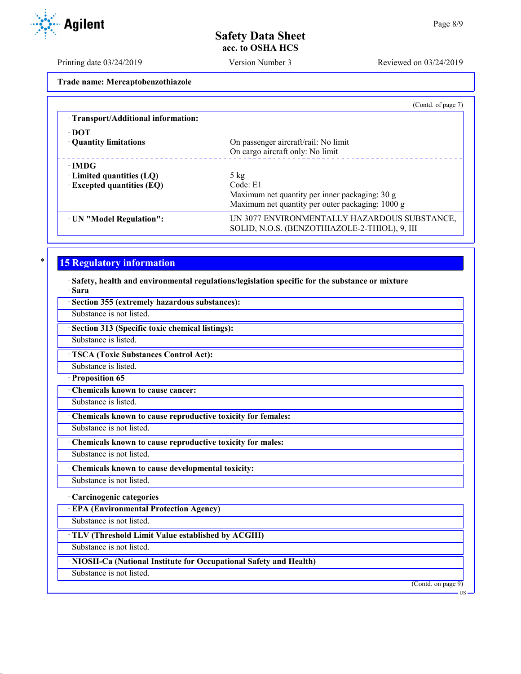Printing date 03/24/2019 Version Number 3 Reviewed on 03/24/2019

**Trade name: Mercaptobenzothiazole**

|                                     | (Contd. of page 7)                                                                            |
|-------------------------------------|-----------------------------------------------------------------------------------------------|
| · Transport/Additional information: |                                                                                               |
| $\cdot$ DOT                         |                                                                                               |
| • Quantity limitations              | On passenger aircraft/rail: No limit                                                          |
|                                     | On cargo aircraft only: No limit                                                              |
| $\cdot$ IMDG                        |                                                                                               |
| $\cdot$ Limited quantities (LQ)     | $5 \text{ kg}$                                                                                |
| $\cdot$ Excepted quantities (EQ)    | Code: E1                                                                                      |
|                                     | Maximum net quantity per inner packaging: 30 g                                                |
|                                     | Maximum net quantity per outer packaging: 1000 g                                              |
| · UN "Model Regulation":            | UN 3077 ENVIRONMENTALLY HAZARDOUS SUBSTANCE,<br>SOLID, N.O.S. (BENZOTHIAZOLE-2-THIOL), 9, III |

# **15 Regulatory information**

· **Safety, health and environmental regulations/legislation specific for the substance or mixture** · **Sara**

| Section 355 (extremely hazardous substances):                      |                             |
|--------------------------------------------------------------------|-----------------------------|
| Substance is not listed.                                           |                             |
| Section 313 (Specific toxic chemical listings):                    |                             |
| Substance is listed.                                               |                             |
| <b>TSCA (Toxic Substances Control Act):</b>                        |                             |
| Substance is listed.                                               |                             |
| Proposition 65                                                     |                             |
| <b>Chemicals known to cause cancer:</b>                            |                             |
| Substance is listed.                                               |                             |
| Chemicals known to cause reproductive toxicity for females:        |                             |
| Substance is not listed.                                           |                             |
| Chemicals known to cause reproductive toxicity for males:          |                             |
| Substance is not listed.                                           |                             |
| Chemicals known to cause developmental toxicity:                   |                             |
| Substance is not listed.                                           |                             |
| · Carcinogenic categories                                          |                             |
| <b>EPA (Environmental Protection Agency)</b>                       |                             |
| Substance is not listed.                                           |                             |
| · TLV (Threshold Limit Value established by ACGIH)                 |                             |
| Substance is not listed.                                           |                             |
| · NIOSH-Ca (National Institute for Occupational Safety and Health) |                             |
| Substance is not listed.                                           |                             |
|                                                                    | (Contd. on page 9)<br>·US - |